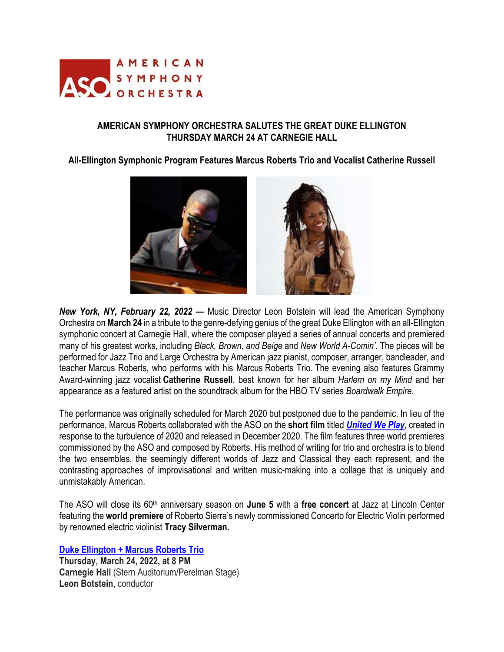

# **AMERICAN SYMPHONY ORCHESTRA SALUTES THE GREAT DUKE ELLINGTON THURSDAY MARCH 24 AT CARNEGIE HALL**

## **All-Ellington Symphonic Program Features Marcus Roberts Trio and Vocalist Catherine Russell**



*New York, NY, February 22, 2022* **—** Music Director Leon Botstein will lead the American Symphony Orchestra on **March 24** in a tribute to the genre-defying genius of the great Duke Ellington with an all-Ellington symphonic concert at Carnegie Hall, where the composer played a series of annual concerts and premiered many of his greatest works, including *Black, Brown, and Beige* and *New World A-Comin'*. The pieces will be performed for Jazz Trio and Large Orchestra by American jazz pianist, composer, arranger, bandleader, and teacher Marcus Roberts, who performs with his Marcus Roberts Trio. The evening also features Grammy Award-winning jazz vocalist **Catherine Russell**, best known for her album *Harlem on my Mind* and her appearance as a featured artist on the soundtrack album for the HBO TV series *Boardwalk Empire*.

The performance was originally scheduled for March 2020 but postponed due to the pandemic. In lieu of the performance, Marcus Roberts collaborated with the ASO on the **short film** titled *United We Play,* created in response to the turbulence of 2020 and released in December 2020. The film features three world premieres commissioned by the ASO and composed by Roberts. His method of writing for trio and orchestra is to blend the two ensembles, the seemingly different worlds of Jazz and Classical they each represent, and the contrasting approaches of improvisational and written music-making into a collage that is uniquely and unmistakably American.

The ASO will close its 60th anniversary season on **June 5** with a **free concert** at Jazz at Lincoln Center featuring the **world premiere** of Roberto Sierra's newly commissioned Concerto for Electric Violin performed by renowned electric violinist **Tracy Silverman.**

**Duke Ellington + Marcus Roberts Trio**

**Thursday, March 24, 2022, at 8 PM Carnegie Hall** (Stern Auditorium/Perelman Stage) **Leon Botstein**, conductor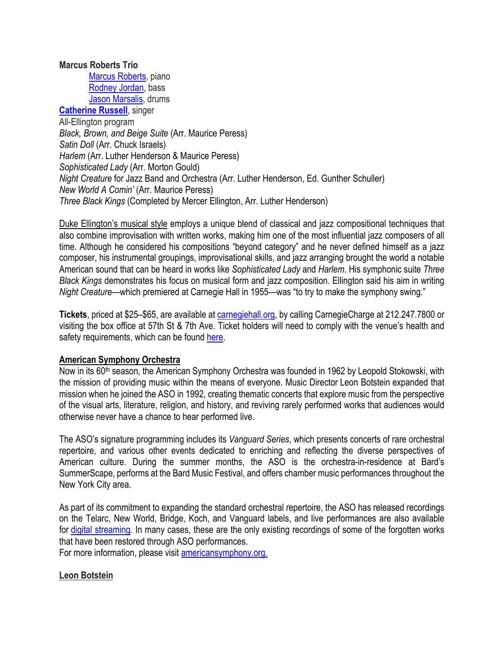## **Marcus Roberts Trio**

Marcus Roberts, piano Rodney Jordan, bass Jason Marsalis, drums **Catherine Russell**, singer All-Ellington program *Black, Brown, and Beige Suite* (Arr. Maurice Peress) *Satin Doll* (Arr. Chuck Israels) *Harlem* (Arr. Luther Henderson & Maurice Peress) *Sophisticated Lady* (Arr. Morton Gould) *Night Creature* for Jazz Band and Orchestra (Arr. Luther Henderson, Ed. Gunther Schuller) *New World A Comin'* (Arr. Maurice Peress) *Three Black Kings* (Completed by Mercer Ellington, Arr. Luther Henderson)

Duke Ellington's musical style employs a unique blend of classical and jazz compositional techniques that also combine improvisation with written works, making him one of the most influential jazz composers of all time. Although he considered his compositions "beyond category" and he never defined himself as a jazz composer, his instrumental groupings, improvisational skills, and jazz arranging brought the world a notable American sound that can be heard in works like *Sophisticated Lady* and *Harlem*. His symphonic suite *Three Black Kings* demonstrates his focus on musical form and jazz composition. Ellington said his aim in writing *Night Creature—*which premiered at Carnegie Hall in 1955—was "to try to make the symphony swing."

**Tickets**, priced at \$25–\$65, are available at carnegiehall.org, by calling CarnegieCharge at 212.247.7800 or visiting the box office at 57th St & 7th Ave. Ticket holders will need to comply with the venue's health and safety requirements, which can be found here.

## **American Symphony Orchestra**

Now in its 60<sup>th</sup> season, the American Symphony Orchestra was founded in 1962 by Leopold Stokowski, with the mission of providing music within the means of everyone. Music Director Leon Botstein expanded that mission when he joined the ASO in 1992, creating thematic concerts that explore music from the perspective of the visual arts, literature, religion, and history, and reviving rarely performed works that audiences would otherwise never have a chance to hear performed live.

The ASO's signature programming includes its *Vanguard Series*, which presents concerts of rare orchestral repertoire, and various other events dedicated to enriching and reflecting the diverse perspectives of American culture. During the summer months, the ASO is the orchestra-in-residence at Bard's SummerScape, performs at the Bard Music Festival, and offers chamber music performances throughout the New York City area.

As part of its commitment to expanding the standard orchestral repertoire, the ASO has released recordings on the Telarc, New World, Bridge, Koch, and Vanguard labels, and live performances are also available for digital streaming. In many cases, these are the only existing recordings of some of the forgotten works that have been restored through ASO performances.

For more information, please visit americansymphony.org.

## **Leon Botstein**